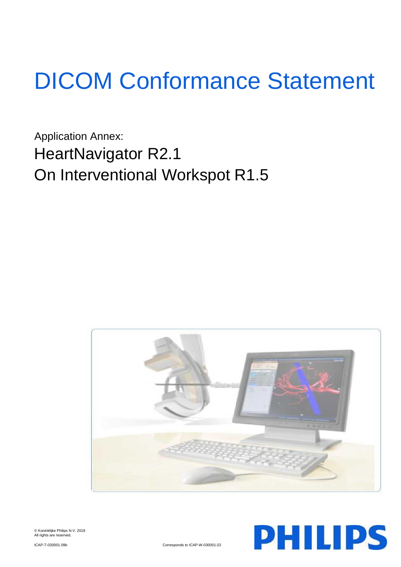# DICOM Conformance Statement

Application Annex: HeartNavigator R2.1 On Interventional Workspot R1.5





© Koninklijke Philips N.V. 2018 All rights are reserved.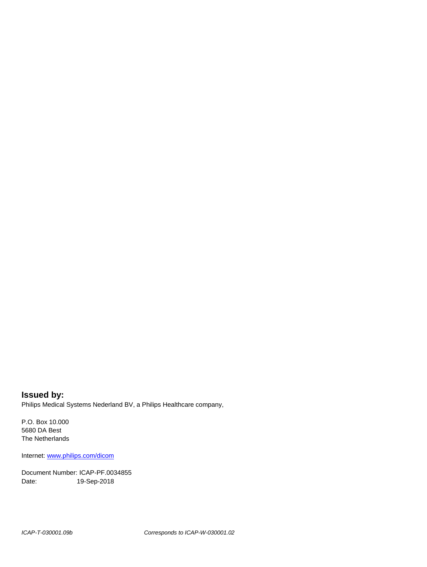**Issued by:** Philips Medical Systems Nederland BV, a Philips Healthcare company,

P.O. Box 10.000 5680 DA Best The Netherlands

Internet[: www.philips.com/dicom](http://www.philips.com/dicom)

Document Number: ICAP-PF.0034855 Date: 19-Sep-2018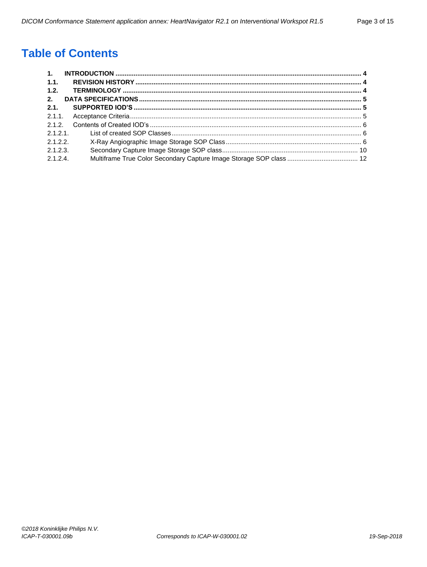# **Table of Contents**

| $\mathbf{1}$ . |  |
|----------------|--|
| $-1.1.$        |  |
| 1.2.           |  |
| 2.             |  |
| 2.1.           |  |
| 2.1.1          |  |
|                |  |
| 2.1.2.1        |  |
| 2.1.2.2        |  |
| 2.1.2.3.       |  |
| 2.1.2.4        |  |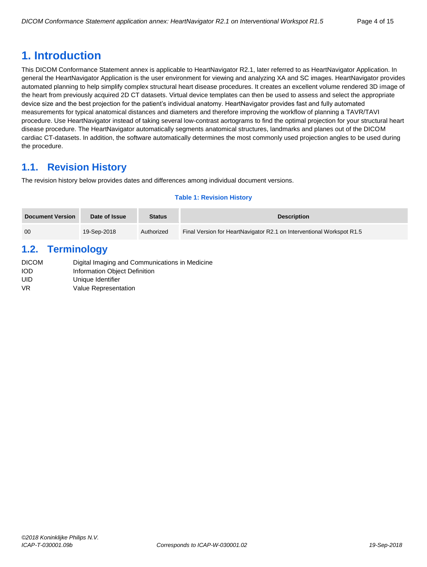# <span id="page-3-0"></span>**1. Introduction**

This DICOM Conformance Statement annex is applicable to HeartNavigator R2.1, later referred to as HeartNavigator Application. In general the HeartNavigator Application is the user environment for viewing and analyzing XA and SC images. HeartNavigator provides automated planning to help simplify complex structural heart disease procedures. It creates an excellent volume rendered 3D image of the heart from previously acquired 2D CT datasets. Virtual device templates can then be used to assess and select the appropriate device size and the best projection for the patient's individual anatomy. HeartNavigator provides fast and fully automated measurements for typical anatomical distances and diameters and therefore improving the workflow of planning a TAVR/TAVI procedure. Use HeartNavigator instead of taking several low-contrast aortograms to find the optimal projection for your structural heart disease procedure. The HeartNavigator automatically segments anatomical structures, landmarks and planes out of the DICOM cardiac CT-datasets. In addition, the software automatically determines the most commonly used projection angles to be used during the procedure.

# <span id="page-3-1"></span>**1.1. Revision History**

The revision history below provides dates and differences among individual document versions.

#### **Table 1: Revision History**

| Document Version | Date of Issue | <b>Status</b> | <b>Description</b>                                                    |
|------------------|---------------|---------------|-----------------------------------------------------------------------|
| -00              | 19-Sep-2018   | Authorized    | Final Version for HeartNavigator R2.1 on Interventional Workspot R1.5 |

# <span id="page-3-2"></span>**1.2. Terminology**

| Digital Imaging and Communications in Medicine |
|------------------------------------------------|
| Information Object Definition                  |
| Unique Identifier                              |
| Value Representation                           |
|                                                |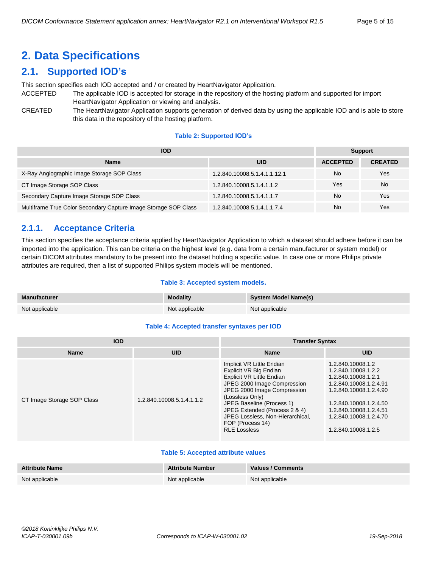# <span id="page-4-0"></span>**2. Data Specifications**

# <span id="page-4-1"></span>**2.1. Supported IOD's**

This section specifies each IOD accepted and / or created by HeartNavigator Application.

- ACCEPTED The applicable IOD is accepted for storage in the repository of the hosting platform and supported for import HeartNavigator Application or viewing and analysis.
- CREATED The HeartNavigator Application supports generation of derived data by using the applicable IOD and is able to store this data in the repository of the hosting platform.

#### **Table 2: Supported IOD's**

| <b>IOD</b>                                                      | <b>Support</b>               |                 |                |
|-----------------------------------------------------------------|------------------------------|-----------------|----------------|
| <b>Name</b>                                                     | <b>UID</b>                   | <b>ACCEPTED</b> | <b>CREATED</b> |
| X-Ray Angiographic Image Storage SOP Class                      | 1.2.840.10008.5.1.4.1.1.12.1 | No              | Yes            |
| CT Image Storage SOP Class                                      | 1.2.840.10008.5.1.4.1.1.2    | Yes             | <b>No</b>      |
| Secondary Capture Image Storage SOP Class                       | 1.2.840.10008.5.1.4.1.1.7    | <b>No</b>       | Yes            |
| Multiframe True Color Secondary Capture Image Storage SOP Class | 1.2.840.10008.5.1.4.1.1.7.4  | No              | Yes            |

# <span id="page-4-2"></span>**2.1.1. Acceptance Criteria**

This section specifies the acceptance criteria applied by HeartNavigator Application to which a dataset should adhere before it can be imported into the application. This can be criteria on the highest level (e.g. data from a certain manufacturer or system model) or certain DICOM attributes mandatory to be present into the dataset holding a specific value. In case one or more Philips private attributes are required, then a list of supported Philips system models will be mentioned.

#### **Table 3: Accepted system models.**

| <b>Manufacturer</b> | <b>Modality</b> | <b>System Model Name(s)</b> |
|---------------------|-----------------|-----------------------------|
| Not applicable      | Not applicable  | Not applicable              |

#### **Table 4: Accepted transfer syntaxes per IOD**

| <b>IOD</b>                 |                           | <b>Transfer Syntax</b>                                                                                                                                                                                                                                                                                         |                                                                                                                                                                                                                          |  |  |
|----------------------------|---------------------------|----------------------------------------------------------------------------------------------------------------------------------------------------------------------------------------------------------------------------------------------------------------------------------------------------------------|--------------------------------------------------------------------------------------------------------------------------------------------------------------------------------------------------------------------------|--|--|
| <b>Name</b>                | <b>UID</b>                | <b>Name</b>                                                                                                                                                                                                                                                                                                    | <b>UID</b>                                                                                                                                                                                                               |  |  |
| CT Image Storage SOP Class | 1.2.840.10008.5.1.4.1.1.2 | Implicit VR Little Endian<br>Explicit VR Big Endian<br>Explicit VR Little Endian<br>JPEG 2000 Image Compression<br>JPEG 2000 Image Compression<br>(Lossless Only)<br>JPEG Baseline (Process 1)<br>JPEG Extended (Process 2 & 4)<br>JPEG Lossless, Non-Hierarchical,<br>FOP (Process 14)<br><b>RLE Lossless</b> | 1.2.840.10008.1.2<br>1.2.840.10008.1.2.2<br>1.2.840.10008.1.2.1<br>1.2.840.10008.1.2.4.91<br>1.2.840.10008.1.2.4.90<br>1.2.840.10008.1.2.4.50<br>1.2.840.10008.1.2.4.51<br>1.2.840.10008.1.2.4.70<br>1.2.840.10008.1.2.5 |  |  |

#### **Table 5: Accepted attribute values**

| <b>Attribute Name</b> | <b>Attribute Number</b> | <b>Values / Comments</b> |
|-----------------------|-------------------------|--------------------------|
| Not applicable        | Not applicable          | Not applicable           |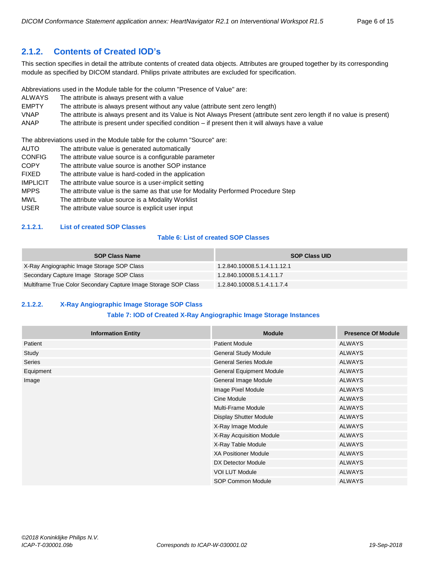# <span id="page-5-0"></span>**2.1.2. Contents of Created IOD's**

This section specifies in detail the attribute contents of created data objects. Attributes are grouped together by its corresponding module as specified by DICOM standard. Philips private attributes are excluded for specification.

Abbreviations used in the Module table for the column "Presence of Value" are:

- ALWAYS The attribute is always present with a value
- EMPTY The attribute is always present without any value (attribute sent zero length)<br>
VNAP The attribute is always present and its Value is Not Always Present (attribute
- The attribute is always present and its Value is Not Always Present (attribute sent zero length if no value is present)
- ANAP The attribute is present under specified condition if present then it will always have a value

The abbreviations used in the Module table for the column "Source" are:

- AUTO The attribute value is generated automatically
- CONFIG The attribute value source is a configurable parameter
- COPY The attribute value source is another SOP instance
- FIXED The attribute value is hard-coded in the application
- IMPLICIT The attribute value source is a user-implicit setting
- MPPS The attribute value is the same as that use for Modality Performed Procedure Step
- MWL The attribute value source is a Modality Worklist
- USER The attribute value source is explicit user input

#### <span id="page-5-1"></span>**2.1.2.1. List of created SOP Classes**

#### **Table 6: List of created SOP Classes**

| <b>SOP Class Name</b>                                           | <b>SOP Class UID</b>         |
|-----------------------------------------------------------------|------------------------------|
| X-Ray Angiographic Image Storage SOP Class                      | 1.2.840.10008.5.1.4.1.1.12.1 |
| Secondary Capture Image Storage SOP Class                       | 1.2.840.10008.5.1.4.1.1.7    |
| Multiframe True Color Secondary Capture Image Storage SOP Class | 1.2.840.10008.5.1.4.1.1.7.4  |

# <span id="page-5-2"></span>**2.1.2.2. X-Ray Angiographic Image Storage SOP Class**

#### **Table 7: IOD of Created X-Ray Angiographic Image Storage Instances**

| <b>Information Entity</b> | <b>Module</b>                   | <b>Presence Of Module</b> |
|---------------------------|---------------------------------|---------------------------|
| Patient                   | <b>Patient Module</b>           | <b>ALWAYS</b>             |
| Study                     | General Study Module            | <b>ALWAYS</b>             |
| Series                    | <b>General Series Module</b>    | <b>ALWAYS</b>             |
| Equipment                 | <b>General Equipment Module</b> | <b>ALWAYS</b>             |
| Image                     | General Image Module            | <b>ALWAYS</b>             |
|                           | Image Pixel Module              | <b>ALWAYS</b>             |
|                           | Cine Module                     | <b>ALWAYS</b>             |
|                           | Multi-Frame Module              | <b>ALWAYS</b>             |
|                           | Display Shutter Module          | <b>ALWAYS</b>             |
|                           | X-Ray Image Module              | <b>ALWAYS</b>             |
|                           | X-Ray Acquisition Module        | <b>ALWAYS</b>             |
|                           | X-Ray Table Module              | <b>ALWAYS</b>             |
|                           | <b>XA Positioner Module</b>     | <b>ALWAYS</b>             |
|                           | DX Detector Module              | <b>ALWAYS</b>             |
|                           | <b>VOI LUT Module</b>           | <b>ALWAYS</b>             |
|                           | <b>SOP Common Module</b>        | <b>ALWAYS</b>             |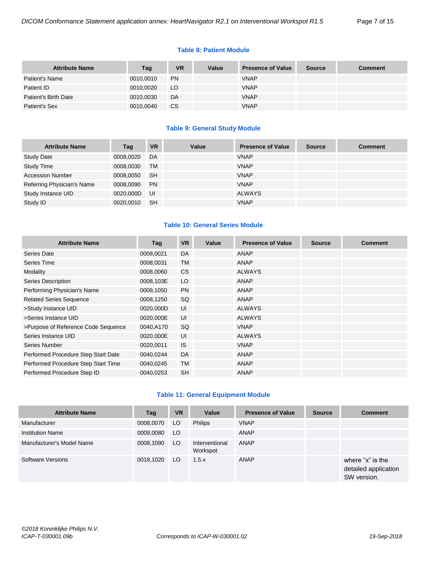#### **Table 8: Patient Module**

| <b>Attribute Name</b> | Tag       | VR        | <b>Value</b> | <b>Presence of Value</b> | <b>Source</b> | <b>Comment</b> |
|-----------------------|-----------|-----------|--------------|--------------------------|---------------|----------------|
| Patient's Name        | 0010,0010 | <b>PN</b> |              | <b>VNAP</b>              |               |                |
| Patient ID            | 0010,0020 | LO        |              | <b>VNAP</b>              |               |                |
| Patient's Birth Date  | 0010,0030 | DA        |              | <b>VNAP</b>              |               |                |
| Patient's Sex         | 0010,0040 | СS        |              | <b>VNAP</b>              |               |                |

#### **Table 9: General Study Module**

| <b>Attribute Name</b>      | Tag       | <b>VR</b> | Value | <b>Presence of Value</b> | <b>Source</b> | <b>Comment</b> |
|----------------------------|-----------|-----------|-------|--------------------------|---------------|----------------|
| <b>Study Date</b>          | 0008,0020 | DA        |       | <b>VNAP</b>              |               |                |
| <b>Study Time</b>          | 0008,0030 | <b>TM</b> |       | <b>VNAP</b>              |               |                |
| <b>Accession Number</b>    | 0008,0050 | <b>SH</b> |       | <b>VNAP</b>              |               |                |
| Referring Physician's Name | 0008,0090 | <b>PN</b> |       | <b>VNAP</b>              |               |                |
| Study Instance UID         | 0020,000D | UI        |       | <b>ALWAYS</b>            |               |                |
| Study ID                   | 0020,0010 | <b>SH</b> |       | <b>VNAP</b>              |               |                |

#### **Table 10: General Series Module**

| <b>Attribute Name</b>               | Tag       | <b>VR</b> | Value | <b>Presence of Value</b> | <b>Source</b> | <b>Comment</b> |
|-------------------------------------|-----------|-----------|-------|--------------------------|---------------|----------------|
| Series Date                         | 0008,0021 | DA        |       | ANAP                     |               |                |
| Series Time                         | 0008,0031 | <b>TM</b> |       | ANAP                     |               |                |
| Modality                            | 0008,0060 | CS        |       | <b>ALWAYS</b>            |               |                |
| <b>Series Description</b>           | 0008,103E | LO        |       | ANAP                     |               |                |
| Performing Physician's Name         | 0008,1050 | <b>PN</b> |       | <b>ANAP</b>              |               |                |
| <b>Related Series Sequence</b>      | 0008,1250 | SQ        |       | <b>ANAP</b>              |               |                |
| >Study Instance UID                 | 0020,000D | UI        |       | <b>ALWAYS</b>            |               |                |
| >Series Instance UID                | 0020,000E | UI        |       | <b>ALWAYS</b>            |               |                |
| >Purpose of Reference Code Sequence | 0040,A170 | <b>SQ</b> |       | <b>VNAP</b>              |               |                |
| Series Instance UID                 | 0020,000E | UI        |       | <b>ALWAYS</b>            |               |                |
| Series Number                       | 0020,0011 | <b>IS</b> |       | <b>VNAP</b>              |               |                |
| Performed Procedure Step Start Date | 0040,0244 | DA        |       | ANAP                     |               |                |
| Performed Procedure Step Start Time | 0040,0245 | <b>TM</b> |       | <b>ANAP</b>              |               |                |
| Performed Procedure Step ID         | 0040,0253 | <b>SH</b> |       | <b>ANAP</b>              |               |                |

#### **Table 11: General Equipment Module**

| <b>Attribute Name</b>     | Tag       | <b>VR</b> | Value                      | <b>Presence of Value</b> | <b>Source</b> | <b>Comment</b>                                          |
|---------------------------|-----------|-----------|----------------------------|--------------------------|---------------|---------------------------------------------------------|
| Manufacturer              | 0008,0070 | LO        | <b>Philips</b>             | <b>VNAP</b>              |               |                                                         |
| <b>Institution Name</b>   | 0008,0080 | LO.       |                            | ANAP                     |               |                                                         |
| Manufacturer's Model Name | 0008,1090 | LO.       | Interventional<br>Workspot | ANAP                     |               |                                                         |
| Software Versions         | 0018,1020 | LO.       | 1.5.x                      | ANAP                     |               | where "x" is the<br>detailed application<br>SW version. |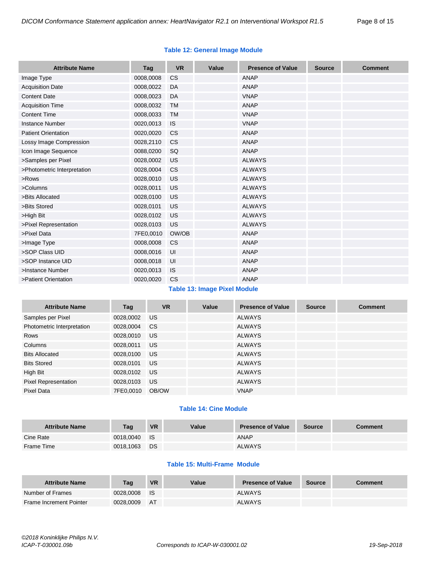#### **Table 12: General Image Module**

| <b>Attribute Name</b>       | Tag       | <b>VR</b> | Value | <b>Presence of Value</b> | <b>Source</b> | <b>Comment</b> |
|-----------------------------|-----------|-----------|-------|--------------------------|---------------|----------------|
| Image Type                  | 0008,0008 | <b>CS</b> |       | <b>ANAP</b>              |               |                |
| <b>Acquisition Date</b>     | 0008,0022 | DA        |       | ANAP                     |               |                |
| <b>Content Date</b>         | 0008,0023 | DA        |       | <b>VNAP</b>              |               |                |
| <b>Acquisition Time</b>     | 0008,0032 | <b>TM</b> |       | <b>ANAP</b>              |               |                |
| <b>Content Time</b>         | 0008,0033 | <b>TM</b> |       | <b>VNAP</b>              |               |                |
| <b>Instance Number</b>      | 0020,0013 | <b>IS</b> |       | <b>VNAP</b>              |               |                |
| <b>Patient Orientation</b>  | 0020,0020 | CS        |       | <b>ANAP</b>              |               |                |
| Lossy Image Compression     | 0028,2110 | <b>CS</b> |       | <b>ANAP</b>              |               |                |
| Icon Image Sequence         | 0088,0200 | SQ        |       | ANAP                     |               |                |
| >Samples per Pixel          | 0028,0002 | US        |       | <b>ALWAYS</b>            |               |                |
| >Photometric Interpretation | 0028,0004 | <b>CS</b> |       | <b>ALWAYS</b>            |               |                |
| >Rows                       | 0028,0010 | US        |       | <b>ALWAYS</b>            |               |                |
| >Columns                    | 0028,0011 | US        |       | <b>ALWAYS</b>            |               |                |
| >Bits Allocated             | 0028,0100 | <b>US</b> |       | <b>ALWAYS</b>            |               |                |
| >Bits Stored                | 0028,0101 | US        |       | <b>ALWAYS</b>            |               |                |
| >High Bit                   | 0028,0102 | US        |       | <b>ALWAYS</b>            |               |                |
| >Pixel Representation       | 0028,0103 | <b>US</b> |       | <b>ALWAYS</b>            |               |                |
| >Pixel Data                 | 7FE0,0010 | OW/OB     |       | <b>ANAP</b>              |               |                |
| >Image Type                 | 0008,0008 | <b>CS</b> |       | <b>ANAP</b>              |               |                |
| >SOP Class UID              | 0008,0016 | UI        |       | <b>ANAP</b>              |               |                |
| >SOP Instance UID           | 0008,0018 | UI        |       | <b>ANAP</b>              |               |                |
| >Instance Number            | 0020,0013 | <b>IS</b> |       | <b>ANAP</b>              |               |                |
| >Patient Orientation        | 0020,0020 | CS        |       | <b>ANAP</b>              |               |                |

# **Table 13: Image Pixel Module**

| <b>Attribute Name</b>       | Tag       | <b>VR</b> | Value | <b>Presence of Value</b> | <b>Source</b> | <b>Comment</b> |
|-----------------------------|-----------|-----------|-------|--------------------------|---------------|----------------|
| Samples per Pixel           | 0028,0002 | US.       |       | <b>ALWAYS</b>            |               |                |
| Photometric Interpretation  | 0028,0004 | <b>CS</b> |       | <b>ALWAYS</b>            |               |                |
| Rows                        | 0028,0010 | US        |       | <b>ALWAYS</b>            |               |                |
| Columns                     | 0028,0011 | US.       |       | <b>ALWAYS</b>            |               |                |
| <b>Bits Allocated</b>       | 0028,0100 | US.       |       | <b>ALWAYS</b>            |               |                |
| <b>Bits Stored</b>          | 0028,0101 | US.       |       | <b>ALWAYS</b>            |               |                |
| High Bit                    | 0028,0102 | US        |       | <b>ALWAYS</b>            |               |                |
| <b>Pixel Representation</b> | 0028,0103 | US        |       | <b>ALWAYS</b>            |               |                |
| Pixel Data                  | 7FE0,0010 | OB/OW     |       | <b>VNAP</b>              |               |                |

## **Table 14: Cine Module**

| <b>Attribute Name</b> | Taq       | <b>VR</b>   | Value | <b>Presence of Value</b> | Source | Comment |
|-----------------------|-----------|-------------|-------|--------------------------|--------|---------|
| Cine Rate             | 0018,0040 | <b>I</b> IS |       | <b>ANAP</b>              |        |         |
| Frame Time            | 0018,1063 | DS          |       | <b>ALWAYS</b>            |        |         |

# **Table 15: Multi-Frame Module**

| <b>Attribute Name</b>   | Tag       | <b>VR</b> | Value | <b>Presence of Value</b> | <b>Source</b> | Comment |
|-------------------------|-----------|-----------|-------|--------------------------|---------------|---------|
| Number of Frames        | 0028.0008 | - IS      |       | <b>ALWAYS</b>            |               |         |
| Frame Increment Pointer | 0028.0009 | <b>AT</b> |       | <b>ALWAYS</b>            |               |         |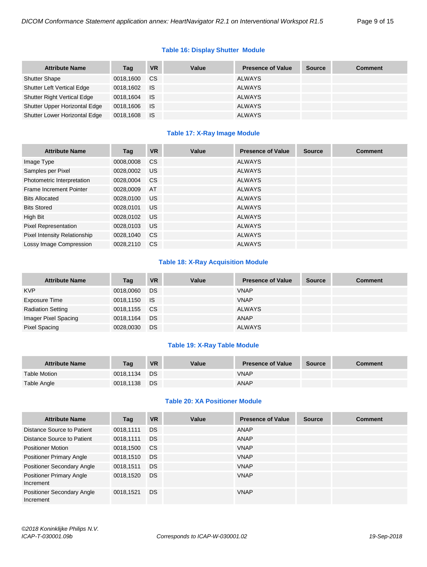## **Table 16: Display Shutter Module**

| <b>Attribute Name</b>              | Tag          | <b>VR</b> | Value | <b>Presence of Value</b> | <b>Source</b> | <b>Comment</b> |
|------------------------------------|--------------|-----------|-------|--------------------------|---------------|----------------|
| <b>Shutter Shape</b>               | 0018,1600    | CS.       |       | <b>ALWAYS</b>            |               |                |
| <b>Shutter Left Vertical Edge</b>  | 0018,1602 IS |           |       | ALWAYS                   |               |                |
| <b>Shutter Right Vertical Edge</b> | 0018,1604    | <b>IS</b> |       | <b>ALWAYS</b>            |               |                |
| Shutter Upper Horizontal Edge      | 0018,1606 IS |           |       | ALWAYS                   |               |                |
| Shutter Lower Horizontal Edge      | 0018,1608    | ⊟ IS      |       | <b>ALWAYS</b>            |               |                |

#### **Table 17: X-Ray Image Module**

| <b>Attribute Name</b>               | Tag       | <b>VR</b>     | Value | <b>Presence of Value</b> | <b>Source</b> | <b>Comment</b> |
|-------------------------------------|-----------|---------------|-------|--------------------------|---------------|----------------|
| Image Type                          | 0008,0008 | <sub>CS</sub> |       | <b>ALWAYS</b>            |               |                |
| Samples per Pixel                   | 0028.0002 | US.           |       | <b>ALWAYS</b>            |               |                |
| Photometric Interpretation          | 0028,0004 | <sub>CS</sub> |       | <b>ALWAYS</b>            |               |                |
| Frame Increment Pointer             | 0028,0009 | AT            |       | <b>ALWAYS</b>            |               |                |
| <b>Bits Allocated</b>               | 0028,0100 | <b>US</b>     |       | <b>ALWAYS</b>            |               |                |
| <b>Bits Stored</b>                  | 0028.0101 | US.           |       | <b>ALWAYS</b>            |               |                |
| High Bit                            | 0028,0102 | <b>US</b>     |       | <b>ALWAYS</b>            |               |                |
| Pixel Representation                | 0028,0103 | US.           |       | <b>ALWAYS</b>            |               |                |
| <b>Pixel Intensity Relationship</b> | 0028,1040 | CS.           |       | <b>ALWAYS</b>            |               |                |
| Lossy Image Compression             | 0028.2110 | CS.           |       | <b>ALWAYS</b>            |               |                |

#### **Table 18: X-Ray Acquisition Module**

| <b>Attribute Name</b>    | Tag          | <b>VR</b> | Value | <b>Presence of Value</b> | <b>Source</b> | <b>Comment</b> |
|--------------------------|--------------|-----------|-------|--------------------------|---------------|----------------|
| <b>KVP</b>               | 0018,0060    | DS        |       | <b>VNAP</b>              |               |                |
| Exposure Time            | 0018,1150 IS |           |       | <b>VNAP</b>              |               |                |
| <b>Radiation Setting</b> | 0018,1155    | <b>CS</b> |       | <b>ALWAYS</b>            |               |                |
| Imager Pixel Spacing     | 0018,1164    | DS        |       | ANAP                     |               |                |
| Pixel Spacing            | 0028,0030    | DS        |       | <b>ALWAYS</b>            |               |                |

#### **Table 19: X-Ray Table Module**

| <b>Attribute Name</b> | Taq       | <b>VR</b> | Value | <b>Presence of Value</b> | <b>Source</b> | <b>Comment</b> |
|-----------------------|-----------|-----------|-------|--------------------------|---------------|----------------|
| <b>Table Motion</b>   | 0018.1134 | DS        |       | <b>VNAP</b>              |               |                |
| Table Angle           | 0018.1138 | DS        |       | <b>ANAP</b>              |               |                |

#### **Table 20: XA Positioner Module**

| <b>Attribute Name</b>                        | Tag       | <b>VR</b> | Value | <b>Presence of Value</b> | <b>Source</b> | <b>Comment</b> |
|----------------------------------------------|-----------|-----------|-------|--------------------------|---------------|----------------|
| Distance Source to Patient                   | 0018,1111 | DS.       |       | ANAP                     |               |                |
| Distance Source to Patient                   | 0018,1111 | DS.       |       | <b>ANAP</b>              |               |                |
| <b>Positioner Motion</b>                     | 0018,1500 | CS.       |       | <b>VNAP</b>              |               |                |
| <b>Positioner Primary Angle</b>              | 0018,1510 | DS.       |       | <b>VNAP</b>              |               |                |
| <b>Positioner Secondary Angle</b>            | 0018,1511 | <b>DS</b> |       | <b>VNAP</b>              |               |                |
| <b>Positioner Primary Angle</b><br>Increment | 0018,1520 | DS.       |       | <b>VNAP</b>              |               |                |
| Positioner Secondary Angle<br>Increment      | 0018,1521 | DS.       |       | <b>VNAP</b>              |               |                |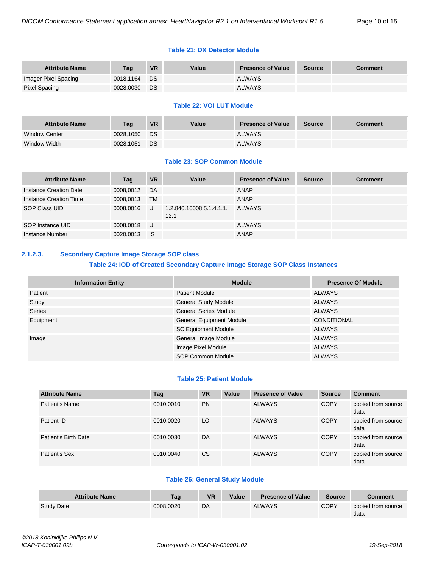#### **Table 21: DX Detector Module**

| <b>Attribute Name</b> | Taq       | <b>VR</b> | Value | <b>Presence of Value</b> | <b>Source</b> | <b>Comment</b> |
|-----------------------|-----------|-----------|-------|--------------------------|---------------|----------------|
| Imager Pixel Spacing  | 0018.1164 | DS        |       | <b>ALWAYS</b>            |               |                |
| Pixel Spacing         | 0028.0030 | DS        |       | <b>ALWAYS</b>            |               |                |

#### **Table 22: VOI LUT Module**

| <b>Attribute Name</b> | Taq       | <b>VR</b> | Value | <b>Presence of Value</b> | <b>Source</b> | Comment |
|-----------------------|-----------|-----------|-------|--------------------------|---------------|---------|
| <b>Window Center</b>  | 0028.1050 | DS.       |       | <b>ALWAYS</b>            |               |         |
| Window Width          | 0028,1051 | DS        |       | <b>ALWAYS</b>            |               |         |

#### **Table 23: SOP Common Module**

| <b>Attribute Name</b>  | Tag       | <b>VR</b> | Value                            | <b>Presence of Value</b> | <b>Source</b> | <b>Comment</b> |
|------------------------|-----------|-----------|----------------------------------|--------------------------|---------------|----------------|
| Instance Creation Date | 0008.0012 | DA        |                                  | ANAP                     |               |                |
| Instance Creation Time | 0008.0013 | TМ        |                                  | ANAP                     |               |                |
| SOP Class UID          | 0008.0016 | UI        | 1.2.840.10008.5.1.4.1.1.<br>12.1 | ALWAYS                   |               |                |
| SOP Instance UID       | 0008.0018 | UI        |                                  | <b>ALWAYS</b>            |               |                |
| Instance Number        | 0020.0013 | <b>IS</b> |                                  | <b>ANAP</b>              |               |                |

# <span id="page-9-0"></span>**2.1.2.3. Secondary Capture Image Storage SOP class**

# **Table 24: IOD of Created Secondary Capture Image Storage SOP Class Instances**

| <b>Information Entity</b> | <b>Module</b>                   | <b>Presence Of Module</b> |
|---------------------------|---------------------------------|---------------------------|
| Patient                   | <b>Patient Module</b>           | <b>ALWAYS</b>             |
| Study                     | <b>General Study Module</b>     | <b>ALWAYS</b>             |
| <b>Series</b>             | <b>General Series Module</b>    | <b>ALWAYS</b>             |
| Equipment                 | <b>General Equipment Module</b> | <b>CONDITIONAL</b>        |
|                           | <b>SC Equipment Module</b>      | <b>ALWAYS</b>             |
| Image                     | General Image Module            | <b>ALWAYS</b>             |
|                           | Image Pixel Module              | <b>ALWAYS</b>             |
|                           | SOP Common Module               | <b>ALWAYS</b>             |

#### **Table 25: Patient Module**

| <b>Attribute Name</b> | Tag       | <b>VR</b>     | Value | <b>Presence of Value</b> | <b>Source</b> | <b>Comment</b>             |
|-----------------------|-----------|---------------|-------|--------------------------|---------------|----------------------------|
| Patient's Name        | 0010,0010 | <b>PN</b>     |       | <b>ALWAYS</b>            | <b>COPY</b>   | copied from source<br>data |
| Patient ID            | 0010,0020 | LO            |       | <b>ALWAYS</b>            | <b>COPY</b>   | copied from source<br>data |
| Patient's Birth Date  | 0010,0030 | DA            |       | <b>ALWAYS</b>            | <b>COPY</b>   | copied from source<br>data |
| Patient's Sex         | 0010,0040 | <sub>CS</sub> |       | <b>ALWAYS</b>            | <b>COPY</b>   | copied from source<br>data |

#### **Table 26: General Study Module**

| <b>Attribute Name</b> | Taq       | <b>VR</b> | Value | <b>Presence of Value</b> | <b>Source</b> | <b>Comment</b>             |
|-----------------------|-----------|-----------|-------|--------------------------|---------------|----------------------------|
| <b>Study Date</b>     | 0008.0020 | DA        |       | <b>ALWAYS</b>            | <b>COPY</b>   | copied from source<br>data |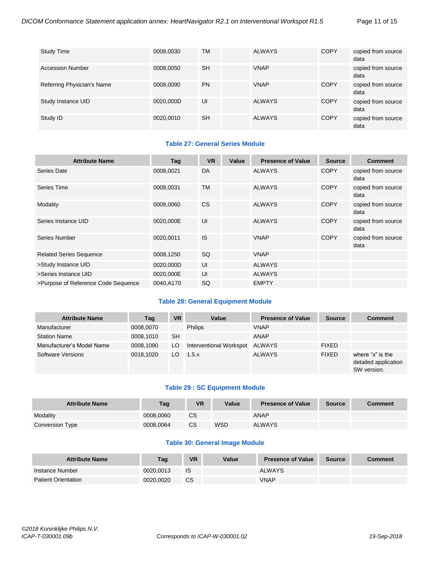| <b>Study Time</b>          | 0008,0030 | <b>TM</b> | <b>ALWAYS</b> | <b>COPY</b> | copied from source<br>data |
|----------------------------|-----------|-----------|---------------|-------------|----------------------------|
| <b>Accession Number</b>    | 0008,0050 | <b>SH</b> | <b>VNAP</b>   |             | copied from source<br>data |
| Referring Physician's Name | 0008,0090 | <b>PN</b> | <b>VNAP</b>   | <b>COPY</b> | copied from source<br>data |
| Study Instance UID         | 0020,000D | UI        | <b>ALWAYS</b> | <b>COPY</b> | copied from source<br>data |
| Study ID                   | 0020,0010 | <b>SH</b> | <b>ALWAYS</b> | <b>COPY</b> | copied from source<br>data |

# **Table 27: General Series Module**

| <b>Attribute Name</b>               | Tag       | <b>VR</b> | Value | <b>Presence of Value</b> | <b>Source</b> | <b>Comment</b>             |
|-------------------------------------|-----------|-----------|-------|--------------------------|---------------|----------------------------|
| Series Date                         | 0008,0021 | DA        |       | <b>ALWAYS</b>            | <b>COPY</b>   | copied from source<br>data |
| Series Time                         | 0008,0031 | <b>TM</b> |       | <b>ALWAYS</b>            | <b>COPY</b>   | copied from source<br>data |
| Modality                            | 0008,0060 | <b>CS</b> |       | <b>ALWAYS</b>            | <b>COPY</b>   | copied from source<br>data |
| Series Instance UID                 | 0020,000E | UI        |       | <b>ALWAYS</b>            | <b>COPY</b>   | copied from source<br>data |
| Series Number                       | 0020,0011 | <b>IS</b> |       | <b>VNAP</b>              | <b>COPY</b>   | copied from source<br>data |
| <b>Related Series Sequence</b>      | 0008,1250 | <b>SQ</b> |       | <b>VNAP</b>              |               |                            |
| >Study Instance UID                 | 0020,000D | UI        |       | <b>ALWAYS</b>            |               |                            |
| >Series Instance UID                | 0020,000E | UI        |       | <b>ALWAYS</b>            |               |                            |
| >Purpose of Reference Code Sequence | 0040,A170 | SQ        |       | <b>EMPTY</b>             |               |                            |

#### **Table 28: General Equipment Module**

| <b>Attribute Name</b>     | Tag       | <b>VR</b> | Value                   | <b>Presence of Value</b> | <b>Source</b> | <b>Comment</b>                                          |
|---------------------------|-----------|-----------|-------------------------|--------------------------|---------------|---------------------------------------------------------|
| Manufacturer              | 0008,0070 |           | <b>Philips</b>          | <b>VNAP</b>              |               |                                                         |
| <b>Station Name</b>       | 0008.1010 | <b>SH</b> |                         | ANAP                     |               |                                                         |
| Manufacturer's Model Name | 0008,1090 | LO.       | Interventional Workspot | ALWAYS                   | <b>FIXED</b>  |                                                         |
| <b>Software Versions</b>  | 0018.1020 | LO.       | 1.5.x                   | <b>ALWAYS</b>            | <b>FIXED</b>  | where "x" is the<br>detailed application<br>SW version. |

#### **Table 29 : SC Equipment Module**

| <b>Attribute Name</b> | Taq       | <b>VR</b> | Value      | <b>Presence of Value</b> | <b>Source</b> | <b>Comment</b> |
|-----------------------|-----------|-----------|------------|--------------------------|---------------|----------------|
| Modality              | 0008.0060 | <b>CS</b> |            | ANAP                     |               |                |
| Conversion Type       | 0008.0064 | CS        | <b>WSD</b> | <b>ALWAYS</b>            |               |                |

#### **Table 30: General Image Module**

| <b>Attribute Name</b>      | Tag       | <b>VR</b> | Value | <b>Presence of Value</b> | <b>Source</b> | <b>Comment</b> |
|----------------------------|-----------|-----------|-------|--------------------------|---------------|----------------|
| Instance Number            | 0020.0013 | <b>IS</b> |       | <b>ALWAYS</b>            |               |                |
| <b>Patient Orientation</b> | 0020.0020 | <b>CS</b> |       | <b>VNAP</b>              |               |                |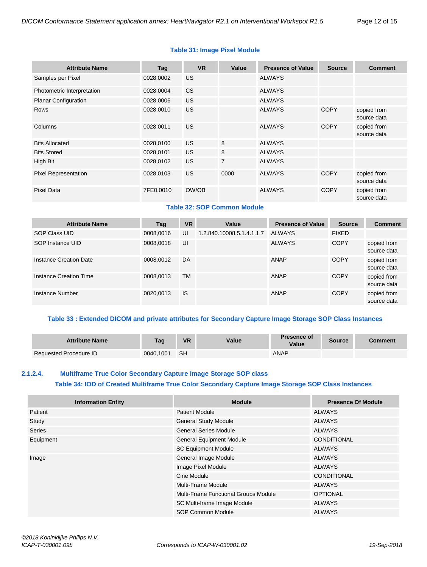#### **Table 31: Image Pixel Module**

| <b>Attribute Name</b>       | Tag       | <b>VR</b> | Value          | <b>Presence of Value</b> | <b>Source</b> | <b>Comment</b>             |
|-----------------------------|-----------|-----------|----------------|--------------------------|---------------|----------------------------|
| Samples per Pixel           | 0028,0002 | <b>US</b> |                | <b>ALWAYS</b>            |               |                            |
| Photometric Interpretation  | 0028,0004 | <b>CS</b> |                | <b>ALWAYS</b>            |               |                            |
| <b>Planar Configuration</b> | 0028,0006 | US.       |                | <b>ALWAYS</b>            |               |                            |
| <b>Rows</b>                 | 0028,0010 | <b>US</b> |                | <b>ALWAYS</b>            | <b>COPY</b>   | copied from<br>source data |
| Columns                     | 0028,0011 | US.       |                | <b>ALWAYS</b>            | <b>COPY</b>   | copied from<br>source data |
| <b>Bits Allocated</b>       | 0028,0100 | US.       | 8              | <b>ALWAYS</b>            |               |                            |
| <b>Bits Stored</b>          | 0028,0101 | US.       | 8              | <b>ALWAYS</b>            |               |                            |
| High Bit                    | 0028,0102 | US.       | $\overline{7}$ | <b>ALWAYS</b>            |               |                            |
| <b>Pixel Representation</b> | 0028,0103 | US.       | 0000           | <b>ALWAYS</b>            | <b>COPY</b>   | copied from<br>source data |
| <b>Pixel Data</b>           | 7FE0,0010 | OW/OB     |                | <b>ALWAYS</b>            | <b>COPY</b>   | copied from<br>source data |

# **Table 32: SOP Common Module**

| <b>Attribute Name</b>  | Tag       | <b>VR</b> | Value                     | <b>Presence of Value</b> | <b>Source</b> | <b>Comment</b>             |
|------------------------|-----------|-----------|---------------------------|--------------------------|---------------|----------------------------|
| SOP Class UID          | 0008,0016 | UI        | 1.2.840.10008.5.1.4.1.1.7 | ALWAYS                   | <b>FIXED</b>  |                            |
| SOP Instance UID       | 0008.0018 | UI        |                           | <b>ALWAYS</b>            | <b>COPY</b>   | copied from<br>source data |
| Instance Creation Date | 0008,0012 | DA        |                           | <b>ANAP</b>              | <b>COPY</b>   | copied from<br>source data |
| Instance Creation Time | 0008,0013 | <b>TM</b> |                           | <b>ANAP</b>              | <b>COPY</b>   | copied from<br>source data |
| Instance Number        | 0020.0013 | <b>IS</b> |                           | <b>ANAP</b>              | <b>COPY</b>   | copied from<br>source data |

## **Table 33 : Extended DICOM and private attributes for Secondary Capture Image Storage SOP Class Instances**

| <b>Attribute Name</b>         | Tag       | <b>VR</b> | Value | <b>Presence of</b><br>Value | <b>Source</b> | Comment |
|-------------------------------|-----------|-----------|-------|-----------------------------|---------------|---------|
| <b>Requested Procedure ID</b> | 0040,1001 | - SH      |       | ANAP                        |               |         |

# <span id="page-11-0"></span>**2.1.2.4. Multiframe True Color Secondary Capture Image Storage SOP class Table 34: IOD of Created Multiframe True Color Secondary Capture Image Storage SOP Class Instances**

| <b>Information Entity</b> | <b>Module</b>                        | <b>Presence Of Module</b> |
|---------------------------|--------------------------------------|---------------------------|
| Patient                   | <b>Patient Module</b>                | ALWAYS                    |
| Study                     | <b>General Study Module</b>          | <b>ALWAYS</b>             |
| <b>Series</b>             | <b>General Series Module</b>         | <b>ALWAYS</b>             |
| Equipment                 | <b>General Equipment Module</b>      | <b>CONDITIONAL</b>        |
|                           | <b>SC Equipment Module</b>           | ALWAYS                    |
| Image                     | General Image Module                 | <b>ALWAYS</b>             |
|                           | Image Pixel Module                   | <b>ALWAYS</b>             |
|                           | Cine Module                          | <b>CONDITIONAL</b>        |
|                           | Multi-Frame Module                   | ALWAYS                    |
|                           | Multi-Frame Functional Groups Module | <b>OPTIONAL</b>           |
|                           | SC Multi-frame Image Module          | <b>ALWAYS</b>             |
|                           | <b>SOP Common Module</b>             | <b>ALWAYS</b>             |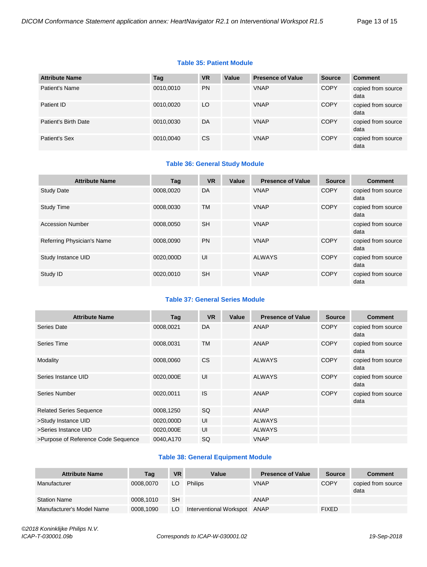#### **Table 35: Patient Module**

| <b>Attribute Name</b> | Tag       | <b>VR</b> | Value | <b>Presence of Value</b> | <b>Source</b> | <b>Comment</b>             |
|-----------------------|-----------|-----------|-------|--------------------------|---------------|----------------------------|
| Patient's Name        | 0010,0010 | <b>PN</b> |       | <b>VNAP</b>              | <b>COPY</b>   | copied from source<br>data |
| Patient ID            | 0010,0020 | LO        |       | <b>VNAP</b>              | <b>COPY</b>   | copied from source<br>data |
| Patient's Birth Date  | 0010,0030 | DA        |       | <b>VNAP</b>              | <b>COPY</b>   | copied from source<br>data |
| Patient's Sex         | 0010,0040 | <b>CS</b> |       | <b>VNAP</b>              | <b>COPY</b>   | copied from source<br>data |

# **Table 36: General Study Module**

| <b>Attribute Name</b>      | Tag       | <b>VR</b> | Value | <b>Presence of Value</b> | <b>Source</b> | <b>Comment</b>             |
|----------------------------|-----------|-----------|-------|--------------------------|---------------|----------------------------|
| <b>Study Date</b>          | 0008.0020 | DA        |       | <b>VNAP</b>              | <b>COPY</b>   | copied from source<br>data |
| <b>Study Time</b>          | 0008.0030 | <b>TM</b> |       | <b>VNAP</b>              | <b>COPY</b>   | copied from source<br>data |
| <b>Accession Number</b>    | 0008.0050 | <b>SH</b> |       | <b>VNAP</b>              |               | copied from source<br>data |
| Referring Physician's Name | 0008.0090 | <b>PN</b> |       | <b>VNAP</b>              | <b>COPY</b>   | copied from source<br>data |
| Study Instance UID         | 0020.000D | UI        |       | <b>ALWAYS</b>            | <b>COPY</b>   | copied from source<br>data |
| Study ID                   | 0020.0010 | <b>SH</b> |       | <b>VNAP</b>              | <b>COPY</b>   | copied from source<br>data |

# **Table 37: General Series Module**

| <b>Attribute Name</b>               | Tag       | <b>VR</b> | Value | <b>Presence of Value</b> | <b>Source</b> | <b>Comment</b>             |
|-------------------------------------|-----------|-----------|-------|--------------------------|---------------|----------------------------|
| Series Date                         | 0008,0021 | DA        |       | ANAP                     | <b>COPY</b>   | copied from source<br>data |
| Series Time                         | 0008,0031 | <b>TM</b> |       | <b>ANAP</b>              | <b>COPY</b>   | copied from source<br>data |
| Modality                            | 0008,0060 | <b>CS</b> |       | <b>ALWAYS</b>            | <b>COPY</b>   | copied from source<br>data |
| Series Instance UID                 | 0020,000E | UI        |       | <b>ALWAYS</b>            | <b>COPY</b>   | copied from source<br>data |
| Series Number                       | 0020,0011 | <b>IS</b> |       | ANAP                     | <b>COPY</b>   | copied from source<br>data |
| <b>Related Series Sequence</b>      | 0008,1250 | <b>SQ</b> |       | ANAP                     |               |                            |
| >Study Instance UID                 | 0020,000D | UI        |       | <b>ALWAYS</b>            |               |                            |
| >Series Instance UID                | 0020,000E | UI        |       | <b>ALWAYS</b>            |               |                            |
| >Purpose of Reference Code Sequence | 0040,A170 | SQ        |       | <b>VNAP</b>              |               |                            |

#### **Table 38: General Equipment Module**

| <b>Attribute Name</b>     | Tag       | <b>VR</b> | Value                   | <b>Presence of Value</b> | <b>Source</b> | <b>Comment</b>             |
|---------------------------|-----------|-----------|-------------------------|--------------------------|---------------|----------------------------|
| Manufacturer              | 0008.0070 | LO        | <b>Philips</b>          | <b>VNAP</b>              | <b>COPY</b>   | copied from source<br>data |
| <b>Station Name</b>       | 0008,1010 | <b>SH</b> |                         | ANAP                     |               |                            |
| Manufacturer's Model Name | 0008,1090 | LO        | Interventional Workspot | ANAP                     | <b>FIXED</b>  |                            |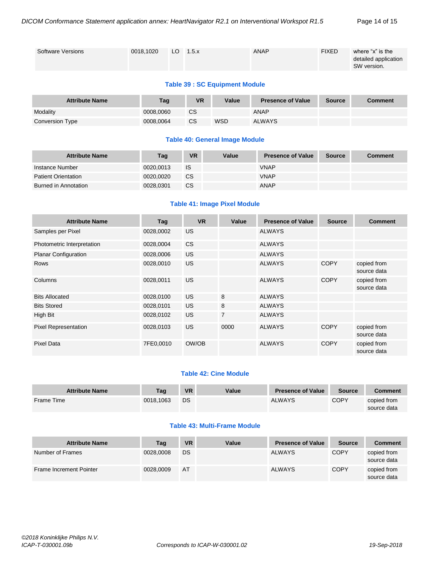| <b>Software Versions</b> | 0018.1020 | LO $1.5.x$ | ANAP | <b>FIXED</b> | where "x" is the<br>detailed application<br>SW version. |
|--------------------------|-----------|------------|------|--------------|---------------------------------------------------------|
|                          |           |            |      |              |                                                         |

#### **Table 39 : SC Equipment Module**

| <b>Attribute Name</b> | Tag       | <b>VR</b> | Value      | <b>Presence of Value</b> | <b>Source</b> | <b>Comment</b> |
|-----------------------|-----------|-----------|------------|--------------------------|---------------|----------------|
| Modality              | 0008.0060 | СS        |            | ANAP                     |               |                |
| Conversion Type       | 0008.0064 | CS        | <b>WSD</b> | <b>ALWAYS</b>            |               |                |

#### **Table 40: General Image Module**

| <b>Attribute Name</b>      | Tag       | <b>VR</b> | Value | <b>Presence of Value</b> | <b>Source</b> | <b>Comment</b> |
|----------------------------|-----------|-----------|-------|--------------------------|---------------|----------------|
| Instance Number            | 0020.0013 | IS        |       | <b>VNAP</b>              |               |                |
| <b>Patient Orientation</b> | 0020.0020 | <b>CS</b> |       | <b>VNAP</b>              |               |                |
| Burned in Annotation       | 0028.0301 | CS        |       | ANAP                     |               |                |

#### **Table 41: Image Pixel Module**

| <b>Attribute Name</b>       | Tag       | <b>VR</b>      | Value          | <b>Presence of Value</b> | <b>Source</b> | <b>Comment</b>             |
|-----------------------------|-----------|----------------|----------------|--------------------------|---------------|----------------------------|
| Samples per Pixel           | 0028,0002 | <b>US</b>      |                | <b>ALWAYS</b>            |               |                            |
| Photometric Interpretation  | 0028,0004 | C <sub>S</sub> |                | <b>ALWAYS</b>            |               |                            |
| <b>Planar Configuration</b> | 0028,0006 | <b>US</b>      |                | <b>ALWAYS</b>            |               |                            |
| <b>Rows</b>                 | 0028,0010 | <b>US</b>      |                | <b>ALWAYS</b>            | <b>COPY</b>   | copied from<br>source data |
| Columns                     | 0028,0011 | <b>US</b>      |                | <b>ALWAYS</b>            | <b>COPY</b>   | copied from<br>source data |
| <b>Bits Allocated</b>       | 0028,0100 | <b>US</b>      | 8              | <b>ALWAYS</b>            |               |                            |
| <b>Bits Stored</b>          | 0028,0101 | <b>US</b>      | 8              | <b>ALWAYS</b>            |               |                            |
| High Bit                    | 0028,0102 | US             | $\overline{7}$ | <b>ALWAYS</b>            |               |                            |
| <b>Pixel Representation</b> | 0028,0103 | <b>US</b>      | 0000           | <b>ALWAYS</b>            | <b>COPY</b>   | copied from<br>source data |
| <b>Pixel Data</b>           | 7FE0,0010 | OW/OB          |                | <b>ALWAYS</b>            | <b>COPY</b>   | copied from<br>source data |

#### **Table 42: Cine Module**

| <b>Attribute Name</b> | Tag       | <b>VR</b> | Value | <b>Presence of Value</b> | <b>Source</b> | Comment     |
|-----------------------|-----------|-----------|-------|--------------------------|---------------|-------------|
| Frame Time            | 0018.1063 | DS        |       | <b>ALWAYS</b>            | <b>COPY</b>   | copied from |
|                       |           |           |       |                          |               | source data |

#### **Table 43: Multi-Frame Module**

| <b>Attribute Name</b>   | Tag       | <b>VR</b> | Value | <b>Presence of Value</b> | <b>Source</b> | <b>Comment</b>             |
|-------------------------|-----------|-----------|-------|--------------------------|---------------|----------------------------|
| Number of Frames        | 0028,0008 | DS        |       | <b>ALWAYS</b>            | <b>COPY</b>   | copied from<br>source data |
| Frame Increment Pointer | 0028,0009 | AT        |       | <b>ALWAYS</b>            | <b>COPY</b>   | copied from<br>source data |